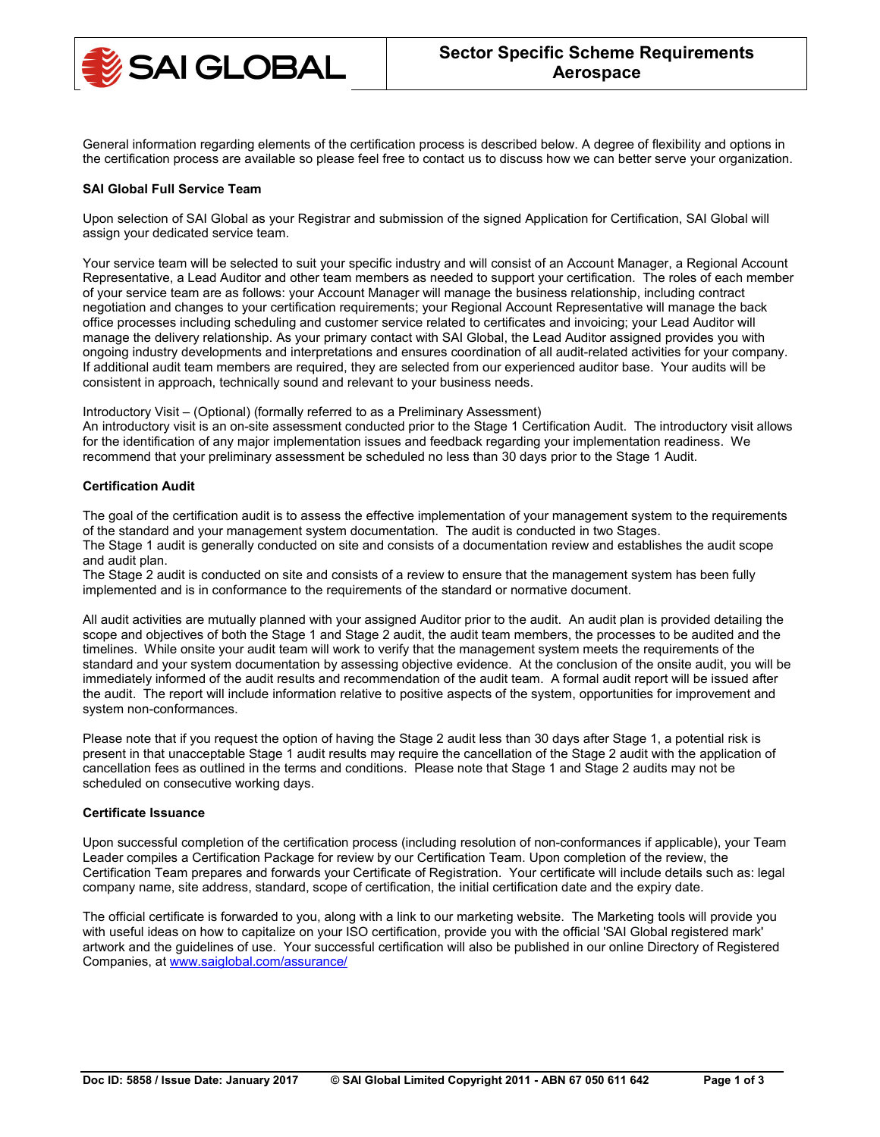

General information regarding elements of the certification process is described below. A degree of flexibility and options in the certification process are available so please feel free to contact us to discuss how we can better serve your organization.

## **SAI Global Full Service Team**

Upon selection of SAI Global as your Registrar and submission of the signed Application for Certification, SAI Global will assign your dedicated service team.

Your service team will be selected to suit your specific industry and will consist of an Account Manager, a Regional Account Representative, a Lead Auditor and other team members as needed to support your certification. The roles of each member of your service team are as follows: your Account Manager will manage the business relationship, including contract negotiation and changes to your certification requirements; your Regional Account Representative will manage the back office processes including scheduling and customer service related to certificates and invoicing; your Lead Auditor will manage the delivery relationship. As your primary contact with SAI Global, the Lead Auditor assigned provides you with ongoing industry developments and interpretations and ensures coordination of all audit-related activities for your company. If additional audit team members are required, they are selected from our experienced auditor base. Your audits will be consistent in approach, technically sound and relevant to your business needs.

Introductory Visit – (Optional) (formally referred to as a Preliminary Assessment)

An introductory visit is an on-site assessment conducted prior to the Stage 1 Certification Audit. The introductory visit allows for the identification of any major implementation issues and feedback regarding your implementation readiness. We recommend that your preliminary assessment be scheduled no less than 30 days prior to the Stage 1 Audit.

# **Certification Audit**

The goal of the certification audit is to assess the effective implementation of your management system to the requirements of the standard and your management system documentation. The audit is conducted in two Stages. The Stage 1 audit is generally conducted on site and consists of a documentation review and establishes the audit scope and audit plan.

The Stage 2 audit is conducted on site and consists of a review to ensure that the management system has been fully implemented and is in conformance to the requirements of the standard or normative document.

All audit activities are mutually planned with your assigned Auditor prior to the audit. An audit plan is provided detailing the scope and objectives of both the Stage 1 and Stage 2 audit, the audit team members, the processes to be audited and the timelines. While onsite your audit team will work to verify that the management system meets the requirements of the standard and your system documentation by assessing objective evidence. At the conclusion of the onsite audit, you will be immediately informed of the audit results and recommendation of the audit team. A formal audit report will be issued after the audit. The report will include information relative to positive aspects of the system, opportunities for improvement and system non-conformances.

Please note that if you request the option of having the Stage 2 audit less than 30 days after Stage 1, a potential risk is present in that unacceptable Stage 1 audit results may require the cancellation of the Stage 2 audit with the application of cancellation fees as outlined in the terms and conditions. Please note that Stage 1 and Stage 2 audits may not be scheduled on consecutive working days.

## **Certificate Issuance**

Upon successful completion of the certification process (including resolution of non-conformances if applicable), your Team Leader compiles a Certification Package for review by our Certification Team. Upon completion of the review, the Certification Team prepares and forwards your Certificate of Registration. Your certificate will include details such as: legal company name, site address, standard, scope of certification, the initial certification date and the expiry date.

The official certificate is forwarded to you, along with a link to our marketing website. The Marketing tools will provide you with useful ideas on how to capitalize on your ISO certification, provide you with the official 'SAI Global registered mark' artwork and the guidelines of use. Your successful certification will also be published in our online Directory of Registered Companies, at [www.saiglobal.com/assurance/](http://www.saiglobal.com/assurance/)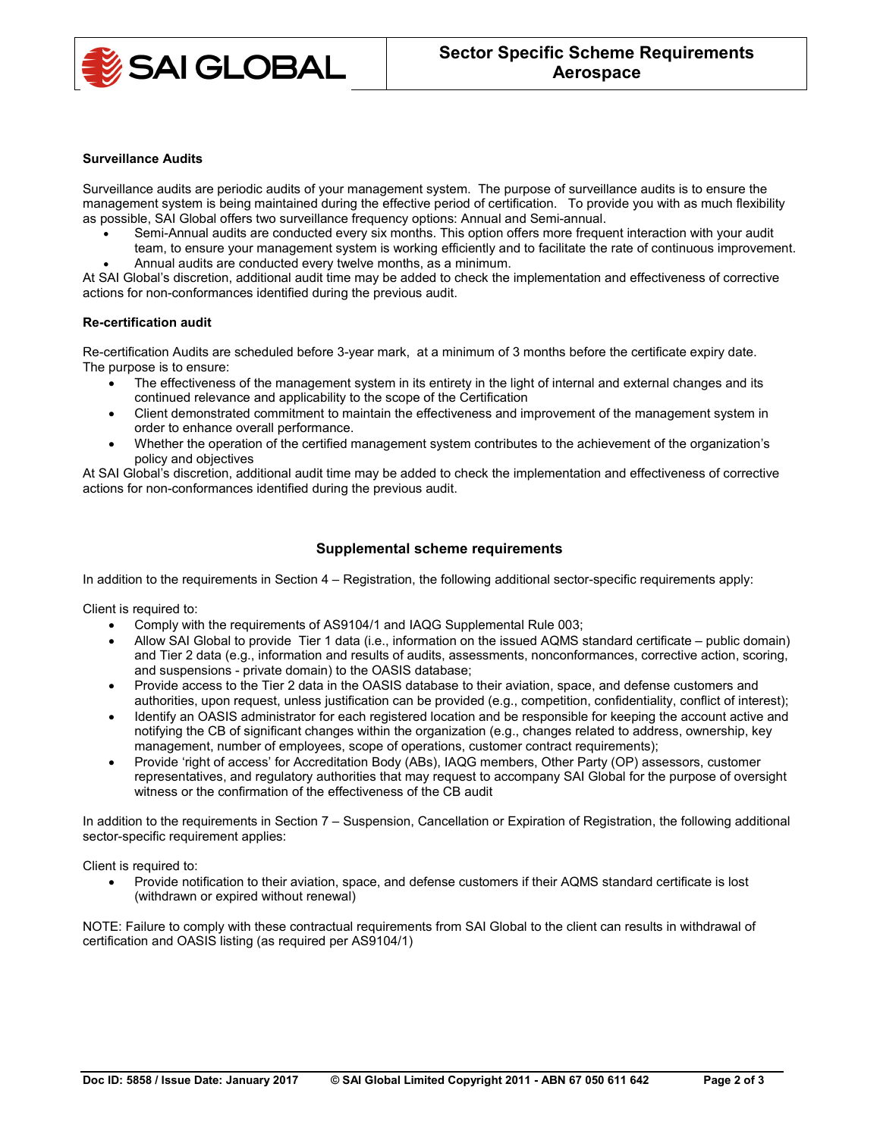

#### **Surveillance Audits**

Surveillance audits are periodic audits of your management system. The purpose of surveillance audits is to ensure the management system is being maintained during the effective period of certification. To provide you with as much flexibility as possible, SAI Global offers two surveillance frequency options: Annual and Semi-annual.

- Semi-Annual audits are conducted every six months. This option offers more frequent interaction with your audit team, to ensure your management system is working efficiently and to facilitate the rate of continuous improvement.
- Annual audits are conducted every twelve months, as a minimum.

At SAI Global's discretion, additional audit time may be added to check the implementation and effectiveness of corrective actions for non-conformances identified during the previous audit.

### **Re-certification audit**

Re-certification Audits are scheduled before 3-year mark, at a minimum of 3 months before the certificate expiry date. The purpose is to ensure:

- The effectiveness of the management system in its entirety in the light of internal and external changes and its continued relevance and applicability to the scope of the Certification
- Client demonstrated commitment to maintain the effectiveness and improvement of the management system in order to enhance overall performance.
- Whether the operation of the certified management system contributes to the achievement of the organization's policy and objectives

At SAI Global's discretion, additional audit time may be added to check the implementation and effectiveness of corrective actions for non-conformances identified during the previous audit.

# **Supplemental scheme requirements**

In addition to the requirements in Section 4 – Registration, the following additional sector-specific requirements apply:

Client is required to:

- Comply with the requirements of AS9104/1 and IAQG Supplemental Rule 003;
- Allow SAI Global to provide Tier 1 data (i.e., information on the issued AQMS standard certificate public domain) and Tier 2 data (e.g., information and results of audits, assessments, nonconformances, corrective action, scoring, and suspensions - private domain) to the OASIS database;
- Provide access to the Tier 2 data in the OASIS database to their aviation, space, and defense customers and authorities, upon request, unless justification can be provided (e.g., competition, confidentiality, conflict of interest);
- Identify an OASIS administrator for each registered location and be responsible for keeping the account active and notifying the CB of significant changes within the organization (e.g., changes related to address, ownership, key management, number of employees, scope of operations, customer contract requirements);
- Provide 'right of access' for Accreditation Body (ABs), IAQG members, Other Party (OP) assessors, customer representatives, and regulatory authorities that may request to accompany SAI Global for the purpose of oversight witness or the confirmation of the effectiveness of the CB audit

In addition to the requirements in Section 7 – Suspension, Cancellation or Expiration of Registration, the following additional sector-specific requirement applies:

Client is required to:

• Provide notification to their aviation, space, and defense customers if their AQMS standard certificate is lost (withdrawn or expired without renewal)

NOTE: Failure to comply with these contractual requirements from SAI Global to the client can results in withdrawal of certification and OASIS listing (as required per AS9104/1)